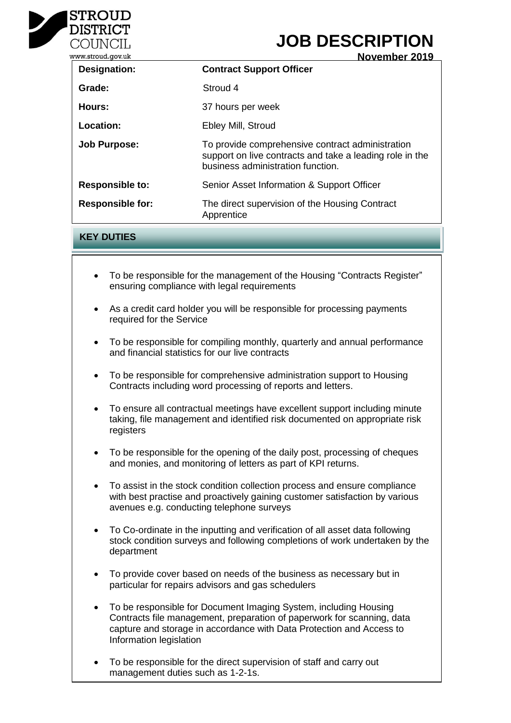

# **JOB DESCRIPTION**

| ww.stroud.gov.uk        | November 2019                                                                                                                                     |
|-------------------------|---------------------------------------------------------------------------------------------------------------------------------------------------|
| Designation:            | <b>Contract Support Officer</b>                                                                                                                   |
| Grade:                  | Stroud 4                                                                                                                                          |
| Hours:                  | 37 hours per week                                                                                                                                 |
| Location:               | Ebley Mill, Stroud                                                                                                                                |
| <b>Job Purpose:</b>     | To provide comprehensive contract administration<br>support on live contracts and take a leading role in the<br>business administration function. |
| <b>Responsible to:</b>  | Senior Asset Information & Support Officer                                                                                                        |
| <b>Responsible for:</b> | The direct supervision of the Housing Contract<br>Apprentice                                                                                      |

# **KEY DUTIES**

- To be responsible for the management of the Housing "Contracts Register" ensuring compliance with legal requirements
- As a credit card holder you will be responsible for processing payments required for the Service
- To be responsible for compiling monthly, quarterly and annual performance and financial statistics for our live contracts
- To be responsible for comprehensive administration support to Housing Contracts including word processing of reports and letters.
- To ensure all contractual meetings have excellent support including minute taking, file management and identified risk documented on appropriate risk registers and the shall include  $\sim$
- To be responsible for the opening of the daily post, processing of cheques and monies, and monitoring of letters as part of KPI returns.  $\mathcal{S}$  can be an obtained support care and practice support can be an obtained support of  $\mathcal{S}$
- To assist in the stock condition collection process and ensure compliance or dispute many secure community constantly proceed and criticate complements with best practise and proactively gaining customer satisfaction by various mant such presence and presencer, gammig or<br>avenues e.g. conducting telephone surveys nace eighten and negotiation of contracts and other legal negotiation of contracts and other legal other legal
- To Co-ordinate in the inputting and verification of all asset data following oo cramato in the inpatting and ronneation stock condition surveys and following completions of work undertaken by the<br>denartment  $G(x)$  supporting the team of team  $s$  solicitors on  $m$ department
- To provide cover based on needs of the business as necessary but in provide cover baced on necad or the backtood as hececoutly but in particular for repairs advisors and gas schedulers
- To be responsible for Document Imaging System, including Housing o Development of the skills and knowledge of the legal profession, in capture and storage in accordance with Data Protection and Access to Contracts file management, preparation of paperwork for scanning, data Information legislation
- To be responsible for the direct supervision of staff and carry out management duties such as 1-2-1s.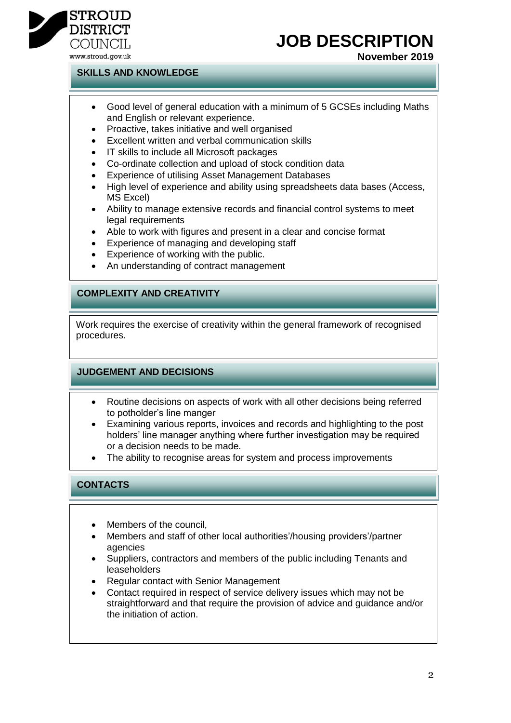

#### www.stroud.gov.uk

### **SKILLS AND KNOWLEDGE**

 Good level of general education with a minimum of 5 GCSEs including Maths and English or relevant experience.

**JOB DESCRIPTION**

**November 2019**

- Proactive, takes initiative and well organised
- Excellent written and verbal communication skills
- IT skills to include all Microsoft packages
- Co-ordinate collection and upload of stock condition data
- Experience of utilising Asset Management Databases
- High level of experience and ability using spreadsheets data bases (Access, MS Excel)
- Ability to manage extensive records and financial control systems to meet legal requirements
- Able to work with figures and present in a clear and concise format
- Experience of managing and developing staff
- Experience of working with the public.
- An understanding of contract management

## **COMPLEXITY AND CREATIVITY**

Work requires the exercise of creativity within the general framework of recognised procedures.

### **JUDGEMENT AND DECISIONS**

- Routine decisions on aspects of work with all other decisions being referred to potholder's line manger
- Examining various reports, invoices and records and highlighting to the post holders' line manager anything where further investigation may be required or a decision needs to be made.
- The ability to recognise areas for system and process improvements

# **CONTACTS**

- Members of the council.
- Members and staff of other local authorities'/housing providers'/partner agencies
- Suppliers, contractors and members of the public including Tenants and leaseholders
- Regular contact with Senior Management
- Contact required in respect of service delivery issues which may not be straightforward and that require the provision of advice and guidance and/or the initiation of action.